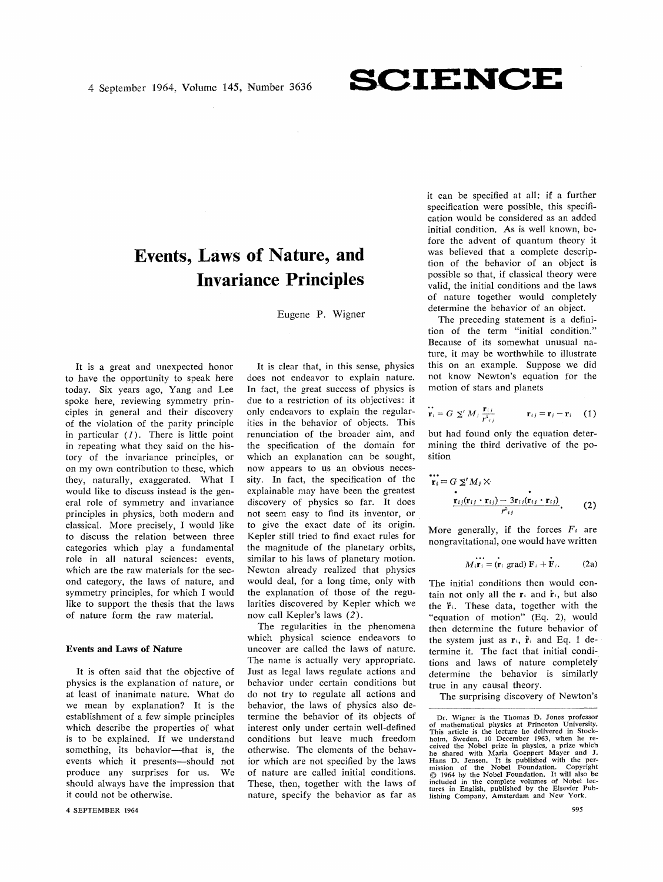# **SCI E NCE**

# **Events, Laws of Nature, and Invariance Principles**

Eugene P. Wigner

**It is a great and unexpected honor to have the opportunity to speak here today. Six years ago, Yang and Lee spoke here, reviewing symmetry principles in general and their discovery of the violation of the parity principle in particular (1). There is little point in repeating what they said on the history of the invariance principles, or on my own contribution to these, which they, naturally, exaggerated. What I would like to discuss instead is the general role of symmetry and invariance principles in physics, both modern and classical. More precisely, I would like to discuss the relation between three categories which play a fundamental role in all natural sciences: events, which are the raw materials for the second category, the laws of nature, and symmetry principles, for which I would like to support the thesis that the laws of nature form the raw material.** 

### **Events and Laws of Nature**

**It is often said that the objective of physics is the explanation of nature, or at least of inanimate nature. What do we mean by explanation? It is the establishment of a few simple principles which describe the properties of what is to be explained. If we understand**  something, its behavior-that is, the events which it presents-should not **produce any surprises for us. We should always have the impression that it could not be otherwise.** 

**4 SEPTEMBER 1964** 

It is clear that, in this sense, physics **does not endeavor to**  In fact, the great success of physics is **due to a restriction of its objectives: it only endeavors to explain the regularities in the behavior of objects. This renunciation of the broader aim, and the specification of the domain for which an explanation can be sought, now appears to us an obvious necessity. In fact, the specification of the explainable may have been the greatest discovery of physics so far. It does not seem easy to find its inventor, or to give the exact date of its origin. Kepler still tried to find exact rules for the magnitude of the planetary orbits, similar to his laws of planetary motion. Newton already realized that physics would deal, for a long time, only with the explanation of those of the regularities discovered by Kepler which we now call Kepler's laws (2).** 

**The regularities in the phenomena which physical science endeavors to uncover are called the laws of nature. The name is actually very appropriate. Just as legal laws regulate actions and behavior under certain conditions but do not try to regulate all actions and behavior, the laws of physics also determine the behavior of its objects of interest only under certain well-defined conditions but leave much freedom otherwise. The elements of the behavior which are not specified by the laws of nature are called initial conditions. These, then, together with the laws of nature, specify the behavior as far as**  **it can be specified at all: if a further specification were possible, this specification would be considered as an added initial condition. As is well known, before the advent of quantum theory it nrd was believed that a complete description of the behavior of an object is es possible so that, if classical theory were valid, the initial conditions and the laws of nature together would completely determine the behavior of an object.** 

The preceding statement is a defini**tion of the term "initial condition." Because of its somewhat unusual nature, it may be worthwhile to illustrate**  this on an example. Suppose we did not know Newton's equation for the motion of stars and planets

$$
\mathbf{r}_i = G \sum' M_j \frac{\mathbf{r}_{ij}}{r^3_{ij}} \qquad \mathbf{r}_{ij} = \mathbf{r}_j - \mathbf{r}_i \quad (1)
$$

**but had found only the equation determining the third derivative of the position** 

$$
\mathbf{r}_{i} = G \sum_{i}^{'} M_{j} \times \mathbf{r}_{i,j} (\mathbf{r}_{i,j} \cdot \mathbf{r}_{i,j}) - 3 \mathbf{r}_{i,j} (\mathbf{r}_{i,j} \cdot \mathbf{r}_{i,j})
$$
\n
$$
\mathbf{r}_{i,j}^{5} (\mathbf{r}_{i,j} \cdot \mathbf{r}_{i,j}) - 3 \mathbf{r}_{i,j} (\mathbf{r}_{i,j} \cdot \mathbf{r}_{i,j}) \tag{2}
$$

More generally, if the forces  $F_i$  are **nongravitational, one would have written** 

$$
\overrightarrow{M_i \mathbf{r}_i} = (\mathbf{r}_i \text{ grad}) \mathbf{F}_i + \mathbf{F}_i. \qquad (2a)
$$

**The initial conditions then would con-** $\text{tain not only all the } \mathbf{r}_i \text{ and } \mathbf{\dot{r}}_i, \text{ but also}$ the  $\ddot{\mathbf{r}}$ . These data, together with the **"equation of motion" (Eq. 2), would then determine the future behavior of**  the system just as  $\mathbf{r}_i$ ,  $\dot{\mathbf{r}}_i$  and Eq. 1 de**termine it. The fact that initial conditions and laws of nature completely determine the behavior is similarly true in any causal theory.** 

**The surprising discovery of Newton's** 

Dr. Wigner is the Thomas D. Jones professor<br>of mathematical physics at Princeton University.<br>This article is the lecture he delivered in Stock-<br>holm, Sweden, 10 December 1963, when he re-<br>ceived the Nobel prize in physics,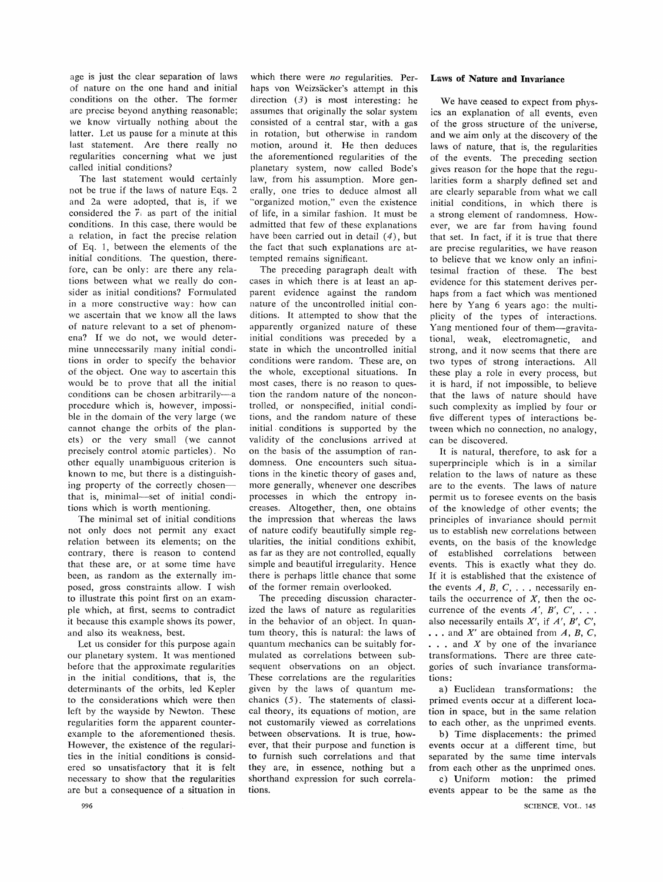**age is just the clear separation of laws of nature on the one hand and initial conditions on the other. The former are precise beyond anything reasonable; we know virtually nothing about the latter. Let us pause for a minute at this last statement. Are there really no regularities concerning what we just called initial conditions?** 

**The last statement would certainly not be true if the laws of nature Eqs. 2 and 2a were adopted, that is, if we**  considered the  $\ddot{r}_i$  as part of the initial **conditions. In this case, there would be a relation, in fact the precise relation of Eq. 1, between the elements of the initial conditions. The question, therefore, can be only: are there any relations between what we really do consider as initial conditions? Formulated in a more constructive way: how can we ascertain that we know all the laws of nature relevant to a set of phenomena? If we do not, we would determine unnecessarily many initial conditions in order to specify the behavior of the object. One way to ascertain this would be to prove that all the initial conditions can be chosen arbitrarily-a procedure which is, however, impossible in the domain of the very large (we cannot change the orbits of the planets) or the very small (we cannot precisely control atomic particles). No other equally unambiguous criterion is known to me, but there is a distinguishing property of the correctly chosen**that is, minimal-set of initial condi**tions which is worth mentioning.** 

**The minimal set of initial conditions not only does not permit any exact relation between its elements; on the contrary, there is reason to contend that these are, or at some time have been, as random as the externally imposed, gross constraints allow. I wish to illustrate this point first on an example which, at first, seems to contradict it because this example shows its power, and also its weakness, best.** 

**Let us consider for this purpose again our planetary system. It was mentioned before that the approximate regularities in the initial conditions, that is, the determinants of the orbits, led Kepler to the considerations which were then left by the wayside by Newton. These regularities form the apparent counterexample to the aforementioned thesis. However, the existence of the regularities in the initial conditions is considered so unsatisfactory that it is felt necessary to show that the regularities are but a consequence of a situation in** 

**which there were no regularities. Perhaps von Weizsaicker's attempt in this direction (3) is most interesting: he assumes that originally the solar system consisted of a central star, with a gas in rotation, but otherwise in random motion, around it. He then deduces the aforementioned regularities of the planetary system, now called Bode's law, from his assumption. More generally, one tries to deduce almost all "organized motion," even the existence of life, in a similar fashion. It must be admitted that few of these explanations have been carried out in detail (4), but the fact that such explanations are attempted remains significant.** 

**The preceding paragraph dealt with cases in which there is at least an apparent evidence against the random nature of the uncontrolled initial conditions. It attempted to show that the apparently organized nature of these initial conditions was preceded by a state in which the uncontrolled initial conditions were random. These are, on the whole, exceptional situations. In most cases, there is no reason to question the random nature of the noncontrolled, or nonspecified, initial conditions, and the random nature of these initial conditions is supported by the validity of the conclusions arrived at on the basis of the assumption of randomness. One encounters such situations in the kinetic theory of gases and, more generally, whenever one describes processes in which the entropy increases. Altogether, then, one obtains the impression that whereas the laws of nature codify beautifully simple regularities, the initial conditions exhibit, as far as they are not controlled, equally simple and beautiful irregularity. Hence there is perhaps little chance that some of the former remain overlooked.** 

**The preceding discussion characterized the laws of nature as regularities in the behavior of an object. In quantum theory, this is natural: the laws of quantum mechanics can be suitably formulated as correlations between subsequent observations on an object. These correlations are the regularities given by the laws of quantum mechanics (5). The statements of classical theory, its equations of motion, are not customarily viewed as correlations between observations. It is true, however, that their purpose and function is to furnish such correlations and that they are, in essence, nothing but a shorthand expression for such correlations.** 

#### **Laws of Nature and Invariance**

**We have ceased to expect from physics an explanation of all events, even of the gross structure of the universe, and we aim only at the discovery of the laws of nature, that is, the regularities of the events. The preceding section gives reason for the hope that the regularities form a sharply defined set and are clearly separable from what we call initial conditions, in which there is a strong element of randomness. However, we are far from having found that set. In fact, if it is true that there are precise regularities, we have reason to believe that we know only an infinitesimal fraction of these. The best evidence for this statement derives perhaps from a fact which was mentioned here by Yang 6 years ago: the multiplicity of the types of interactions. Yang mentioned four of them-gravitational, weak, electromagnetic, and strong, and it now seems that there are two types of strong interactions. All these play a role in every process, but it is hard, if not impossible, to believe that the laws of nature should have such complexity as implied by four or five different types of interactions between which no connection, no analogy, can be discovered.** 

**It is natural, therefore, to ask for a superprinciple which is in a similar relation to the laws of nature as these are to the events. The laws of nature permit us to foresee events on the basis of the knowledge of other events; the principles of invariance should permit us to establish new correlations between events, on the basis of the knowledge of established correlations between events. This is exactly what they do. If it is established that the existence of**  the events  $A, B, C, \ldots$  necessarily en**tails the occurrence of X, then the oc**currence of the events  $A'$ ,  $B'$ ,  $C'$ ,  $\ldots$ **also necessarily entails X', if A', B', C', . . . and X' are obtained from A, B, C, . . and X by one of the invariance transformations. There are three categories of such invariance transformations:** 

**a) Euclidean transformations: the primed events occur at a different location in space, but in the same relation to each other, as the unprimed events.** 

**b) Time displacements: the primed events occur at a different time, but separated by the same time intervals from each other as the unprimed ones. c) Uniform motion: the primed events appear to be the same as the**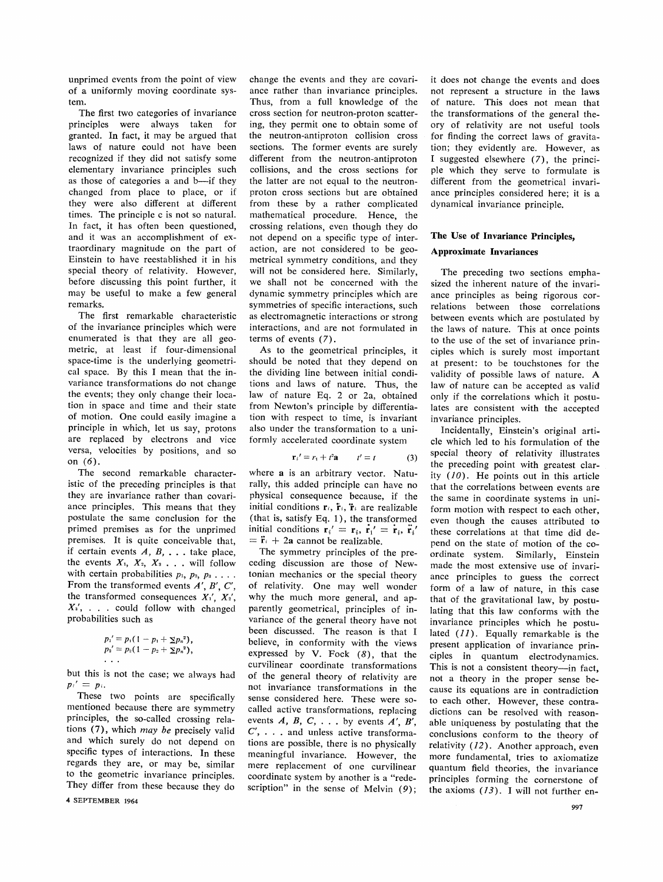**unprimed events from the point of view of a uniformly moving coordinate system.** 

**The first two categories of invariance principles were always taken for granted. In fact, it may be argued that laws of nature could not have been recognized if they did not satisfy some elementary invariance principles such**  as those of categories a and b-if they **changed from place to place, or if they were also different at different times. The principle c is not so natural. In fact, it has often been questioned, and it was an accomplishment of extraordinary magnitude on the part of Einstein to have reestablished it in his special theory of relativity. However, before discussing this point further, it may be useful to make a few general remarks.** 

**The first remarkable characteristic of the invariance principles which were enumerated is that they are all geometric, at least if four-dimensional space-time is the underlying geometrical space. By this I mean that the invariance transformations do not change the events; they only change their location in space and time and their state of motion. One could easily imagine a principle in which, let us say, protons are replaced by electrons and vice versa, velocities by positions, and so on (6).** 

**The second remarkable characteristic of the preceding principles is that they are invariance rather than covariance principles. This means that they postulate the same conclusion for the primed premises as for the unprimed premises. It is quite conceivable that, if certain events A, B, . . . take place,**  the events  $X_1, X_2, X_3$ ... will follow with certain probabilities  $p_1$ ,  $p_2$ ,  $p_3$ .... **From the transformed events A', B', C',**  the transformed consequences  $X_1$ ,  $X_2$ , **X3, . . . could follow with changed probabilities such as** 

$$
p_1' = p_1(1 - p_1 + \sum p_n^2),
$$
  

$$
p_2' = p_2(1 - p_2 + \sum p_n^2),
$$

**but this is not the case; we always had**   $p_i' = p_i$ .

**These two points are specifically mentioned because there are symmetry principles, the so-called crossing relations (7), which may be precisely valid and which surely do not depend on specific types of interactions. In these regards they are, or may be, similar to the geometric invariance principles. They differ from these because they do** 

 $\cdots$ 

**change the events and they are covariance rather than invariance principles. Thus, from a full knowledge of the cross section for neutron-proton scattering, they permit one to obtain some of the neutron-antiproton collision cross sections. The former events are surely different from the neutron-antiproton collisions, and the cross sections for the latter are not equal to the neutronproton cross sections but are obtained from these by a rather complicated mathematical procedure. Hence, the crossing relations, even though they do not depend on a specific type of interaction, are not considered to be geometrical symmetry conditions, and they will not be considered here. Similarly, we shall not be concerned with the dynamic symmetry principles which are symmetries of specific interactions, such as electromagnetic interactions or strong interactions, and are not formulated in terms of events (7).** 

**As to the geometrical principles, it should be noted that they depend on the dividing line between initial conditions and laws of nature. Thus, the law of nature Eq. 2 or 2a, obtained from Newton's principle by differentiation with respect to time, is invariant also under the transformation to a uniformly accelerated coordinate system** 

 $\mathbf{r}_i' = r_1 + t^2 \mathbf{a}$   $t' = t$  (3)

**where a is an arbitrary vector. Naturally, this added principle can have no physical consequence because, if the**  initial conditions  $\mathbf{r}_i$ ,  $\ddot{\mathbf{r}}_i$ ,  $\ddot{\mathbf{r}}_i$  are realizable **(that is, satisfy Eq. 1), the transformed**  initial conditions  $\mathbf{r}_i' = \mathbf{r}_i$ ,  $\dot{\mathbf{r}}_i' = \dot{\mathbf{r}}_i$ ,  $\ddot{\mathbf{r}}_i'$  $= \ddot{\mathbf{r}}_i + 2\mathbf{a}$  cannot be realizable.

**The symmetry principles of the preceding discussion are those of Newtonian mechanics or the special theory of relativity. One may well wonder why the much more general, and apparently geometrical, principles of invariance of the general theory have not been discussed. The reason is that I believe, in conformity with the views expressed by V. Fock (8), that the curvilinear coordinate transformations of the general theory of relativity are not invariance transformations in the sense considered here. These were socalled active transformations, replacing**  events  $A, B, C, \ldots$  by events  $A', B'$ , **C', . . . and unless active transformations are possible, there is no physically meaningful invariance. However, the mere replacement of one curvilinear coordinate system by another is a "redescription" in the sense of Melvin (9);**  **it does not change the events and does not represent a structure in the laws of nature. This does not mean that the transformations of the general theory of relativity are not useful tools for finding the correct laws of gravitation; they evidently are. However, as I suggested elsewhere (7), the principle which they serve to formulate is different from the geometrical invariance principles considered here; it is a dynamical invariance principle.** 

# **The Use of Invariance Principles, Approximate Invariances**

**The preceding two sections emphasized the inherent nature of the invariance principles as being rigorous correlations between those correlations between events which are postulated by the laws of nature. This at once points to the use of the set of invariance principles which is surely most important at present: to be touchstones for the validity of possible laws of nature. A law of nature can be accepted as valid only if the correlations which it postulates are consistent with the accepted invariance principles.** 

**Incidentally, Einstein's original article which led to his formulation of the special theory of relativity illustrates the preceding point with greatest clarity (10). He points out in this article that the correlations between events are the same in coordinate systems in uniform motion with respect to each other, even though the causes attributed to these correlations at that time did depend on the state of motion of the coordinate system. Similarly, Einstein made the most extensive use of invariance principles to guess the correct form of a law of nature, in this case that of the gravitational law, by postulating that this law conforms with the invariance principles which he postulated (11). Equally remarkable is the present application of invariance principles in quantum electrodynamics.**  This is not a consistent theory-in fact, **not a theory in the proper sense because its equations are in contradiction to each other. However, these contradictions can be resolved with reasonable uniqueness by postulating that the conclusions conform to the theory of relativity (12). Another approach, even more fundamental, tries to axiomatize quantum field theories, the invariance principles forming the cornerstone of the axioms (13). I will not further en-**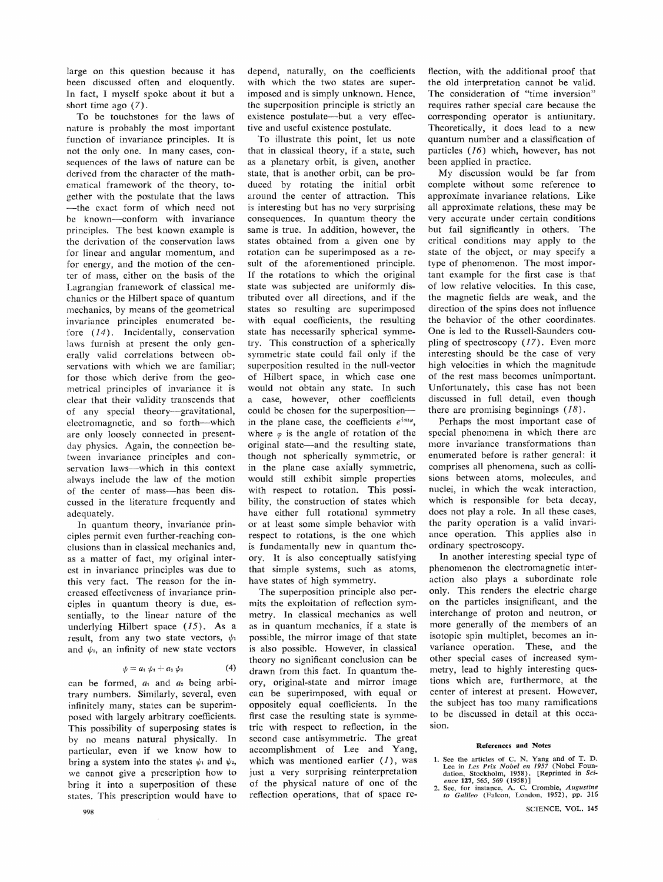**large on this question because it has been discussed often and eloquently. In fact, I myself spoke about it but a short time ago (7).** 

**To be touchstones for the laws of nature is probably the most important function of invariance principles. It is not the only one. In many cases, consequences of the laws of nature can be derived from the character of the mathematical framework of the theory, together with the postulate that the laws -the exact form of which need not be known-conform with invariance principles. The best known example is the derivation of the conservation laws for linear and angular momentum, and for energy, and the motion of the center of mass, either on the basis of the Lagrangian framework of classical mechanics or the Hilbert space of quantum mechanics, by means of the geometrical invariance principles enumerated before (14). Incidentally, conservation laws furnish at present the only generally valid correlations between observations with which we are familiar; for those which derive from the geometrical principles of invariance it is clear that their validity transcends that of any special theory-gravitational, electromagnetic, and so forth-which are only loosely connected in presentday physics. Again, the connection between invariance principles and conservation laws-which in this context always include the law of the motion of the center of mass-has been discussed in the literature frequently and adequately.** 

**In quantum theory, invariance principles permit even further-reaching conclusions than in classical mechanics and, as a matter of fact, my original interest in invariance principles was due to this very fact. The reason for the increased effectiveness of invariance principles in quantum theory is due, essentially, to the linear nature of the underlying Hilbert space (15). As a**  result, from any two state vectors,  $\psi_1$ and  $\psi_2$ , an infinity of new state vectors

### $\psi = a_1 \psi_1 + a_2 \psi_2$  (4)

can be formed,  $a_1$  and  $a_2$  being arbi**trary numbers. Similarly, several, even infinitely many, states can be superimposed with largely arbitrary coefficients. This possibility of superposing states is by no means natural physically. In particular, even if we know how to**  bring a system into the states  $\psi_1$  and  $\psi_2$ , **we cannot give a prescription how to bring it into a superposition of these states. This prescription would have to**  **depend, naturally, on the coefficients with which the two states are superimposed and is simply unknown. Hence, the superposition principle is strictly an existence postulate-but a very effective and useful existence postulate.** 

**To illustrate this point, let us note that in classical theory, if a state, such as a planetary orbit, is given, another state, that is another orbit, can be produced by rotating the initial orbit around the center of attraction. This is interesting but has no very surprising consequences. In quantum theory the same is true. In addition, however, the states obtained from a given one by rotation can be superimposed as a result of the aforementioned principle. If the rotations to which the original state was subjected are uniformly distributed over all directions, and if the states so resulting are superimposed with equal coefficients, the resulting state has necessarily spherical symmetry. This construction of a spherically symmetric state could fail only if the superposition resulted in the null-vector of Hilbert space, in which case one would not obtain any state. In such a case, however, other coefficients could be chosen for the superposition**in the plane case, the coefficients  $e^{im\varphi}$ , where  $\varphi$  is the angle of rotation of the **original state-and the resulting state, though not spherically symmetric, or in the plane case axially symmetric, would still exhibit simple properties with respect to rotation. This possibility, the construction of states which have either full rotational symmetry or at least some simple behavior with respect to rotations, is the one which is fundamentally new in quantum theory. It is also conceptually satisfying that simple systems, such as atoms, have states of high symmetry.** 

**The superposition principle also permits the exploitation of reflection symmetry. In classical mechanics as well as in quantum mechanics, if a state is possible, the mirror image of that state is also possible. However, in classical theory no significant conclusion can be drawn from this fact. In quantum theory, original-state and mirror image can be superimposed, with equal or oppositely equal coefficients. In the first case the resulting state is symmetric with respect to reflection, in the second case antisymmetric. The great accomplishment of Lee and Yang, which was mentioned earlier (1), was just a very surprising reinterpretation of the physical nature of one of the reflection operations, that of space re-**

**flection, with the additional proof that the old interpretation cannot be valid. The consideration of "time inversion" requires rather special care because the corresponding operator is antiunitary. Theoretically, it does lead to a new quantum number and a classification of particles (16) which, however, has not been applied in practice.** 

**My discussion would be far from complete without some reference to approximate invariance relations. Like all approximate relations, these may be very accurate under certain conditions but fail significantly in others. The critical conditions may apply to the state of the object, or may specify a type of phenomenon. The most important example for the first case is that of low relative velocities. In this case, the magnetic fields are weak, and the direction of the spins does not influence the behavior of the other coordinates. One is led to the Russell-Saunders coupling of spectroscopy (17). Even more interesting should be the case of very high velocities in which the magnitude of the rest mass becomes unimportant. Unfortunately, this case has not been discussed in full detail, even though there are promising beginnings (18).** 

**Perhaps the most important case of special phenomena in which there are more invariance transformations than enumerated before is rather general: it comprises all phenomena, such as collisions between atoms, molecules, and nuclei, in which the weak interaction, which is responsible for beta decay, does not play a role. In all these cases, the parity operation is a valid invariance operation. This applies also in ordinary spectroscopy.** 

**In another interesting special type of phenomenon the electromagnetic interaction also plays a subordinate role only. This renders the electric charge on the particles insignificant, and the interchange of proton and neutron, or more generally of the members of an isotopic spin multiplet, becomes an invariance operation. These, and the other special cases of increased symmetry, lead to highly interesting questions which are, furthermore, at the center of interest at present. However, the subject has too many ramifications to be discussed in detail at this occasion.** 

#### **References and Notes**

- 1. See the articles of C. N. Yang and of T. D.<br>Lee in Les Prix Nobel en 1957 (Nobel Foun-<br>dation, Stockholm, 1958). [Reprinted in Sci-<br>ence 127, 565, 569 (1958)]<br>2. See, for instance, A. C. Crombie, *Augustine*<br>to Galileo
-